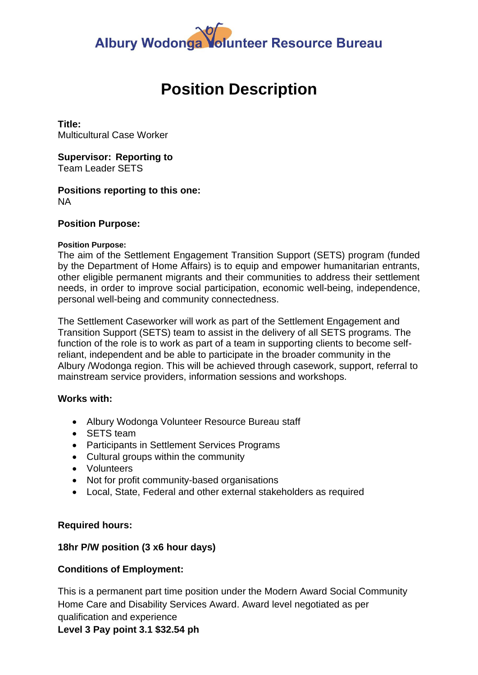# Albury Wodonga Volunteer Resource Bureau

# **Position Description**

**Title:** Multicultural Case Worker

**Supervisor: Reporting to** Team Leader SETS

## **Positions reporting to this one:** NA

## **Position Purpose:**

## **Position Purpose:**

The aim of the Settlement Engagement Transition Support (SETS) program (funded by the Department of Home Affairs) is to equip and empower humanitarian entrants, other eligible permanent migrants and their communities to address their settlement needs, in order to improve social participation, economic well-being, independence, personal well-being and community connectedness.

The Settlement Caseworker will work as part of the Settlement Engagement and Transition Support (SETS) team to assist in the delivery of all SETS programs. The function of the role is to work as part of a team in supporting clients to become selfreliant, independent and be able to participate in the broader community in the Albury /Wodonga region. This will be achieved through casework, support, referral to mainstream service providers, information sessions and workshops.

## **Works with:**

- Albury Wodonga Volunteer Resource Bureau staff
- SETS team
- Participants in Settlement Services Programs
- Cultural groups within the community
- Volunteers
- Not for profit community-based organisations
- Local, State, Federal and other external stakeholders as required

## **Required hours:**

# **18hr P/W position (3 x6 hour days)**

# **Conditions of Employment:**

This is a permanent part time position under the Modern Award Social Community Home Care and Disability Services Award. Award level negotiated as per qualification and experience **Level 3 Pay point 3.1 \$32.54 ph**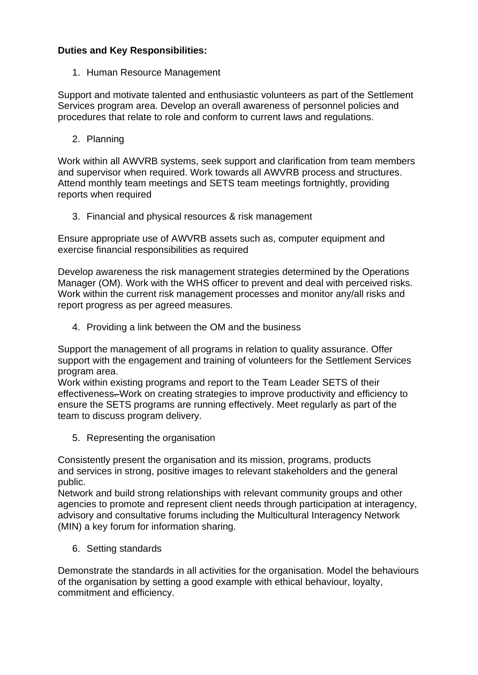# **Duties and Key Responsibilities:**

1. Human Resource Management

Support and motivate talented and enthusiastic volunteers as part of the Settlement Services program area. Develop an overall awareness of personnel policies and procedures that relate to role and conform to current laws and regulations.

2. Planning

Work within all AWVRB systems, seek support and clarification from team members and supervisor when required. Work towards all AWVRB process and structures. Attend monthly team meetings and SETS team meetings fortnightly, providing reports when required

3. Financial and physical resources & risk management

Ensure appropriate use of AWVRB assets such as, computer equipment and exercise financial responsibilities as required

Develop awareness the risk management strategies determined by the Operations Manager (OM). Work with the WHS officer to prevent and deal with perceived risks. Work within the current risk management processes and monitor any/all risks and report progress as per agreed measures.

4. Providing a link between the OM and the business

Support the management of all programs in relation to quality assurance. Offer support with the engagement and training of volunteers for the Settlement Services program area.

Work within existing programs and report to the Team Leader SETS of their effectiveness. Work on creating strategies to improve productivity and efficiency to ensure the SETS programs are running effectively. Meet regularly as part of the team to discuss program delivery.

5. Representing the organisation

Consistently present the organisation and its mission, programs, products and services in strong, positive images to relevant stakeholders and the general public.

Network and build strong relationships with relevant community groups and other agencies to promote and represent client needs through participation at interagency, advisory and consultative forums including the Multicultural Interagency Network (MIN) a key forum for information sharing.

6. Setting standards

Demonstrate the standards in all activities for the organisation. Model the behaviours of the organisation by setting a good example with ethical behaviour, loyalty, commitment and efficiency.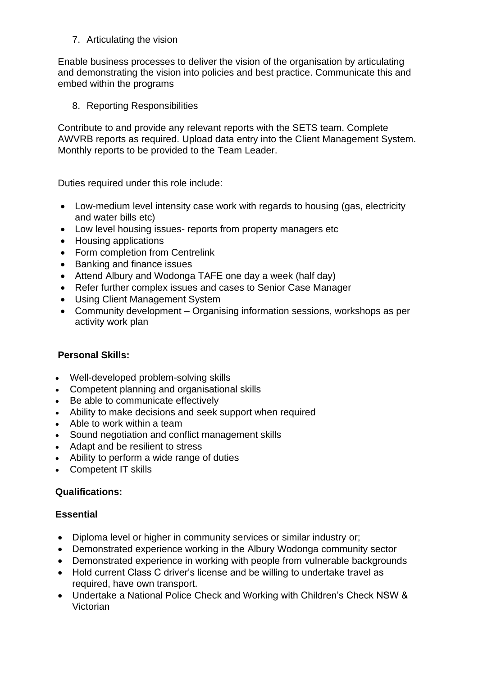7. Articulating the vision

Enable business processes to deliver the vision of the organisation by articulating and demonstrating the vision into policies and best practice. Communicate this and embed within the programs

8. Reporting Responsibilities

Contribute to and provide any relevant reports with the SETS team. Complete AWVRB reports as required. Upload data entry into the Client Management System. Monthly reports to be provided to the Team Leader.

Duties required under this role include:

- Low-medium level intensity case work with regards to housing (gas, electricity and water bills etc)
- Low level housing issues- reports from property managers etc
- Housing applications
- Form completion from Centrelink
- Banking and finance issues
- Attend Albury and Wodonga TAFE one day a week (half day)
- Refer further complex issues and cases to Senior Case Manager
- Using Client Management System
- Community development Organising information sessions, workshops as per activity work plan

# **Personal Skills:**

- Well-developed problem-solving skills
- Competent planning and organisational skills
- Be able to communicate effectively
- Ability to make decisions and seek support when required
- Able to work within a team
- Sound negotiation and conflict management skills
- Adapt and be resilient to stress
- Ability to perform a wide range of duties
- Competent IT skills

## **Qualifications:**

## **Essential**

- Diploma level or higher in community services or similar industry or;
- Demonstrated experience working in the Albury Wodonga community sector
- Demonstrated experience in working with people from vulnerable backgrounds
- Hold current Class C driver's license and be willing to undertake travel as required, have own transport.
- Undertake a National Police Check and Working with Children's Check NSW & Victorian